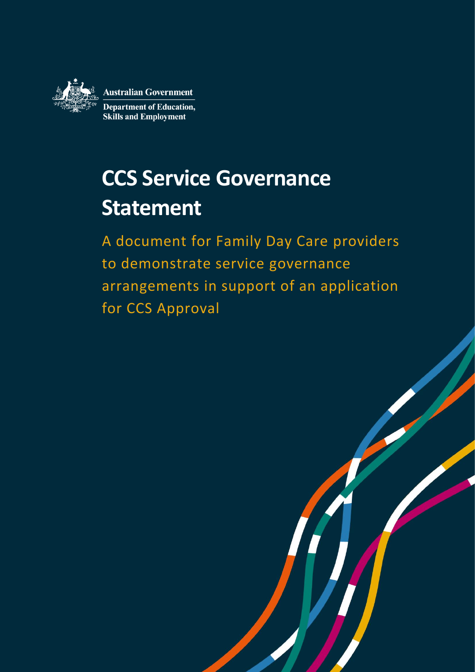

**Australian Government Department of Education, Skills and Employment** 

# **CCS Service Governance Statement**

A document for Family Day Care providers to demonstrate service governance arrangements in support of an application for CCS Approval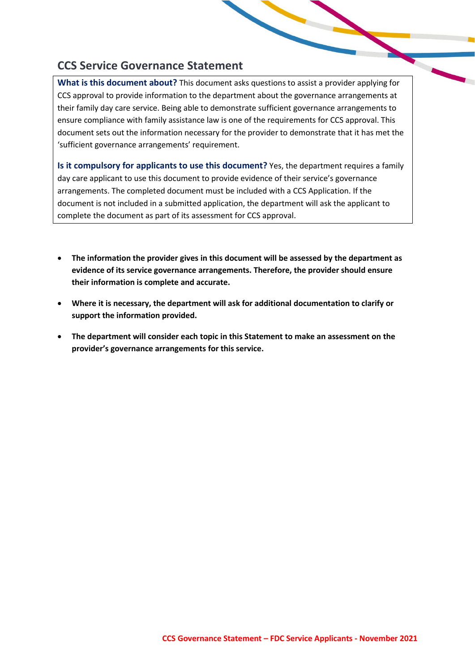# **CCS Service Governance Statement**

**What is this document about?** This document asks questions to assist a provider applying for CCS approval to provide information to the department about the governance arrangements at their family day care service. Being able to demonstrate sufficient governance arrangements to ensure compliance with family assistance law is one of the requirements for CCS approval. This document sets out the information necessary for the provider to demonstrate that it has met the 'sufficient governance arrangements' requirement.

**Is it compulsory for applicants to use this document?** Yes, the department requires a family day care applicant to use this document to provide evidence of their service's governance arrangements. The completed document must be included with a CCS Application. If the document is not included in a submitted application, the department will ask the applicant to complete the document as part of its assessment for CCS approval.

- **The information the provider gives in this document will be assessed by the department as evidence of its service governance arrangements. Therefore, the provider should ensure their information is complete and accurate.**
- **Where it is necessary, the department will ask for additional documentation to clarify or support the information provided.**
- **The department will consider each topic in this Statement to make an assessment on the provider's governance arrangements for this service.**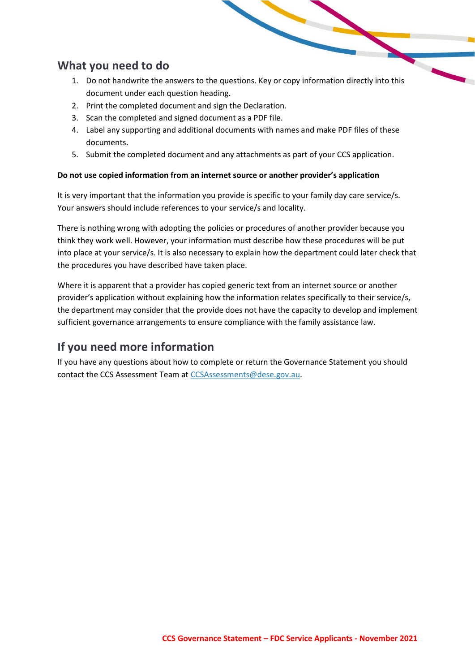## **What you need to do**

- 1. Do not handwrite the answers to the questions. Key or copy information directly into this document under each question heading.
- 2. Print the completed document and sign the Declaration.
- 3. Scan the completed and signed document as a PDF file.
- 4. Label any supporting and additional documents with names and make PDF files of these documents.
- 5. Submit the completed document and any attachments as part of your CCS application.

## **Do not use copied information from an internet source or another provider's application**

It is very important that the information you provide is specific to your family day care service/s. Your answers should include references to your service/s and locality.

There is nothing wrong with adopting the policies or procedures of another provider because you think they work well. However, your information must describe how these procedures will be put into place at your service/s. It is also necessary to explain how the department could later check that the procedures you have described have taken place.

Where it is apparent that a provider has copied generic text from an internet source or another provider's application without explaining how the information relates specifically to their service/s, the department may consider that the provide does not have the capacity to develop and implement sufficient governance arrangements to ensure compliance with the family assistance law.

# **If you need more information**

If you have any questions about how to complete or return the Governance Statement you should contact the CCS Assessment Team at [CCSAssessments@dese.gov.au.](mailto:CCSAssessments@dese.gov.au)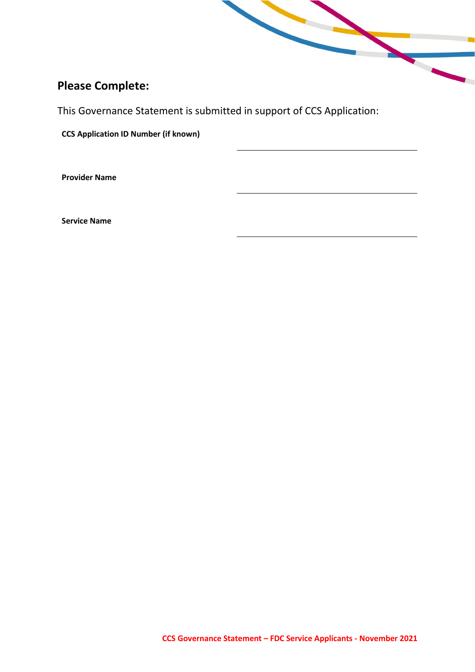# **Please Complete:**

This Governance Statement is submitted in support of CCS Application:

**CCS Application ID Number (if known)**

**Provider Name**

**Service Name**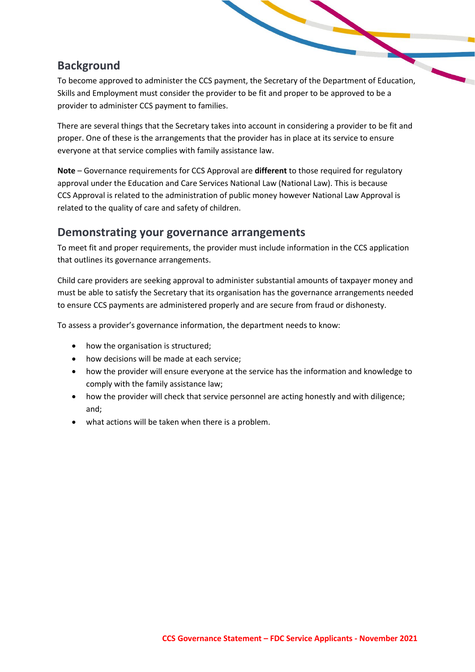# **Background**

To become approved to administer the CCS payment, the Secretary of the Department of Education, Skills and Employment must consider the provider to be fit and proper to be approved to be a provider to administer CCS payment to families.

There are several things that the Secretary takes into account in considering a provider to be fit and proper. One of these is the arrangements that the provider has in place at its service to ensure everyone at that service complies with family assistance law.

**Note** – Governance requirements for CCS Approval are **different** to those required for regulatory approval under the Education and Care Services National Law (National Law). This is because CCS Approval is related to the administration of public money however National Law Approval is related to the quality of care and safety of children.

## **Demonstrating your governance arrangements**

To meet fit and proper requirements, the provider must include information in the CCS application that outlines its governance arrangements.

Child care providers are seeking approval to administer substantial amounts of taxpayer money and must be able to satisfy the Secretary that its organisation has the governance arrangements needed to ensure CCS payments are administered properly and are secure from fraud or dishonesty.

To assess a provider's governance information, the department needs to know:

- how the organisation is structured;
- how decisions will be made at each service;
- how the provider will ensure everyone at the service has the information and knowledge to comply with the family assistance law;
- how the provider will check that service personnel are acting honestly and with diligence; and;
- what actions will be taken when there is a problem.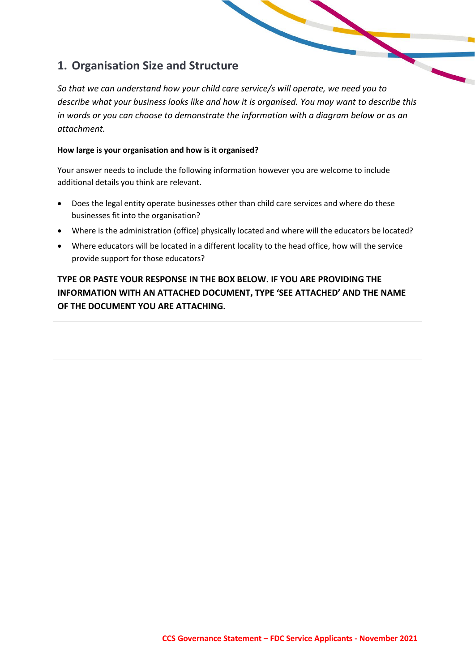# **1. Organisation Size and Structure**

*So that we can understand how your child care service/s will operate, we need you to describe what your business looks like and how it is organised. You may want to describe this in words or you can choose to demonstrate the information with a diagram below or as an attachment.*

## **How large is your organisation and how is it organised?**

Your answer needs to include the following information however you are welcome to include additional details you think are relevant.

- Does the legal entity operate businesses other than child care services and where do these businesses fit into the organisation?
- Where is the administration (office) physically located and where will the educators be located?
- Where educators will be located in a different locality to the head office, how will the service provide support for those educators?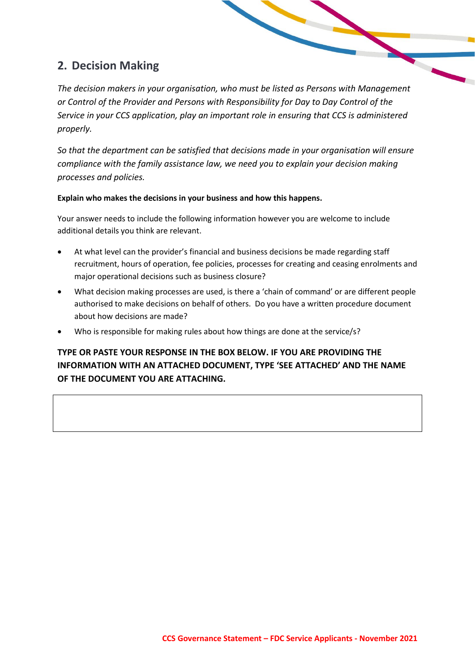# **2. Decision Making**

*The decision makers in your organisation, who must be listed as Persons with Management or Control of the Provider and Persons with Responsibility for Day to Day Control of the Service in your CCS application, play an important role in ensuring that CCS is administered properly.*

*So that the department can be satisfied that decisions made in your organisation will ensure compliance with the family assistance law, we need you to explain your decision making processes and policies.* 

## **Explain who makes the decisions in your business and how this happens.**

Your answer needs to include the following information however you are welcome to include additional details you think are relevant.

- At what level can the provider's financial and business decisions be made regarding staff recruitment, hours of operation, fee policies, processes for creating and ceasing enrolments and major operational decisions such as business closure?
- What decision making processes are used, is there a 'chain of command' or are different people authorised to make decisions on behalf of others. Do you have a written procedure document about how decisions are made?
- Who is responsible for making rules about how things are done at the service/s?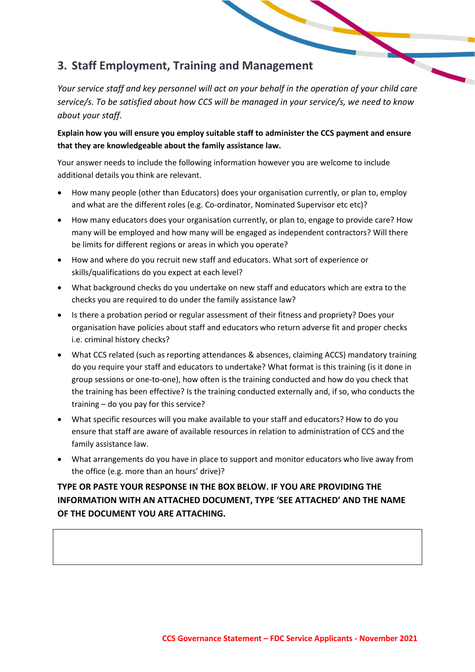# **3. Staff Employment, Training and Management**

*Your service staff and key personnel will act on your behalf in the operation of your child care service/s. To be satisfied about how CCS will be managed in your service/s, we need to know about your staff.*

**Explain how you will ensure you employ suitable staff to administer the CCS payment and ensure that they are knowledgeable about the family assistance law.**

Your answer needs to include the following information however you are welcome to include additional details you think are relevant.

- How many people (other than Educators) does your organisation currently, or plan to, employ and what are the different roles (e.g. Co-ordinator, Nominated Supervisor etc etc)?
- How many educators does your organisation currently, or plan to, engage to provide care? How many will be employed and how many will be engaged as independent contractors? Will there be limits for different regions or areas in which you operate?
- How and where do you recruit new staff and educators. What sort of experience or skills/qualifications do you expect at each level?
- What background checks do you undertake on new staff and educators which are extra to the checks you are required to do under the family assistance law?
- Is there a probation period or regular assessment of their fitness and propriety? Does your organisation have policies about staff and educators who return adverse fit and proper checks i.e. criminal history checks?
- What CCS related (such as reporting attendances & absences, claiming ACCS) mandatory training do you require your staff and educators to undertake? What format is this training (is it done in group sessions or one-to-one), how often is the training conducted and how do you check that the training has been effective? Is the training conducted externally and, if so, who conducts the training – do you pay for this service?
- What specific resources will you make available to your staff and educators? How to do you ensure that staff are aware of available resources in relation to administration of CCS and the family assistance law.
- What arrangements do you have in place to support and monitor educators who live away from the office (e.g. more than an hours' drive)?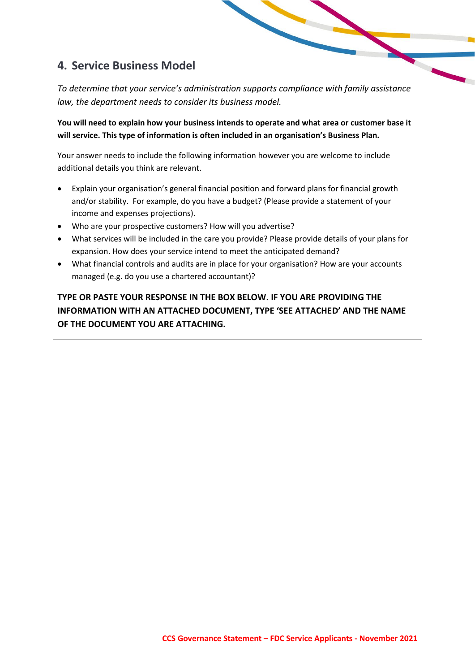# **4. Service Business Model**

*To determine that your service's administration supports compliance with family assistance law, the department needs to consider its business model.*

**You will need to explain how your business intends to operate and what area or customer base it will service. This type of information is often included in an organisation's Business Plan.**

Your answer needs to include the following information however you are welcome to include additional details you think are relevant.

- Explain your organisation's general financial position and forward plans for financial growth and/or stability. For example, do you have a budget? (Please provide a statement of your income and expenses projections).
- Who are your prospective customers? How will you advertise?
- What services will be included in the care you provide? Please provide details of your plans for expansion. How does your service intend to meet the anticipated demand?
- What financial controls and audits are in place for your organisation? How are your accounts managed (e.g. do you use a chartered accountant)?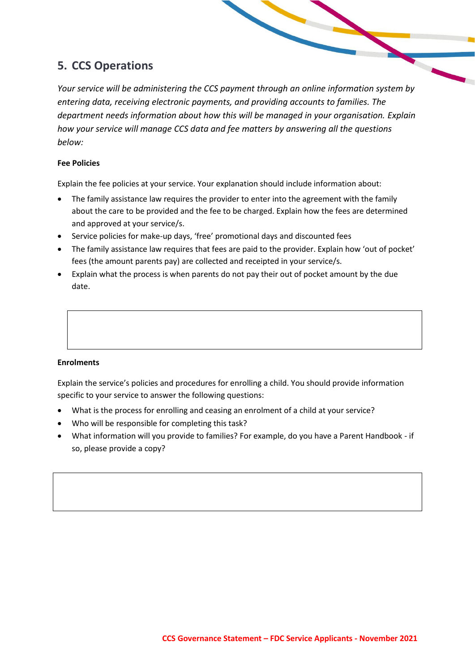# **5. CCS Operations**

*Your service will be administering the CCS payment through an online information system by entering data, receiving electronic payments, and providing accounts to families. The department needs information about how this will be managed in your organisation. Explain how your service will manage CCS data and fee matters by answering all the questions below:*

## **Fee Policies**

Explain the fee policies at your service. Your explanation should include information about:

- The family assistance law requires the provider to enter into the agreement with the family about the care to be provided and the fee to be charged. Explain how the fees are determined and approved at your service/s.
- Service policies for make-up days, 'free' promotional days and discounted fees
- The family assistance law requires that fees are paid to the provider. Explain how 'out of pocket' fees (the amount parents pay) are collected and receipted in your service/s.
- Explain what the process is when parents do not pay their out of pocket amount by the due date.

## **Enrolments**

Explain the service's policies and procedures for enrolling a child. You should provide information specific to your service to answer the following questions:

- What is the process for enrolling and ceasing an enrolment of a child at your service?
- Who will be responsible for completing this task?
- What information will you provide to families? For example, do you have a Parent Handbook if so, please provide a copy?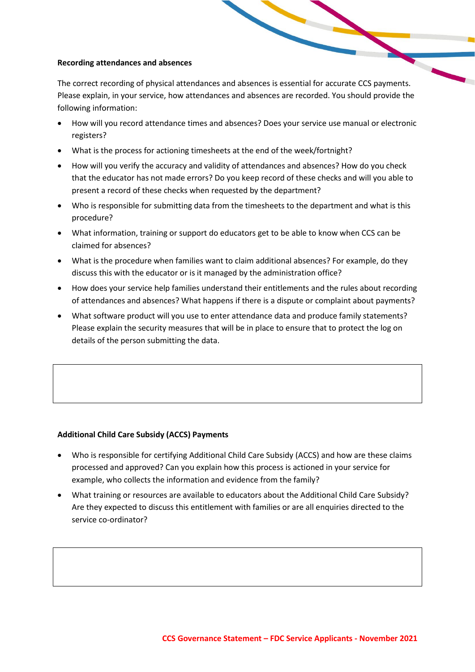#### **Recording attendances and absences**

The correct recording of physical attendances and absences is essential for accurate CCS payments. Please explain, in your service, how attendances and absences are recorded. You should provide the following information:

- How will you record attendance times and absences? Does your service use manual or electronic registers?
- What is the process for actioning timesheets at the end of the week/fortnight?
- How will you verify the accuracy and validity of attendances and absences? How do you check that the educator has not made errors? Do you keep record of these checks and will you able to present a record of these checks when requested by the department?
- Who is responsible for submitting data from the timesheets to the department and what is this procedure?
- What information, training or support do educators get to be able to know when CCS can be claimed for absences?
- What is the procedure when families want to claim additional absences? For example, do they discuss this with the educator or is it managed by the administration office?
- How does your service help families understand their entitlements and the rules about recording of attendances and absences? What happens if there is a dispute or complaint about payments?
- What software product will you use to enter attendance data and produce family statements? Please explain the security measures that will be in place to ensure that to protect the log on details of the person submitting the data.

### **Additional Child Care Subsidy (ACCS) Payments**

- Who is responsible for certifying Additional Child Care Subsidy (ACCS) and how are these claims processed and approved? Can you explain how this process is actioned in your service for example, who collects the information and evidence from the family?
- What training or resources are available to educators about the Additional Child Care Subsidy? Are they expected to discuss this entitlement with families or are all enquiries directed to the service co-ordinator?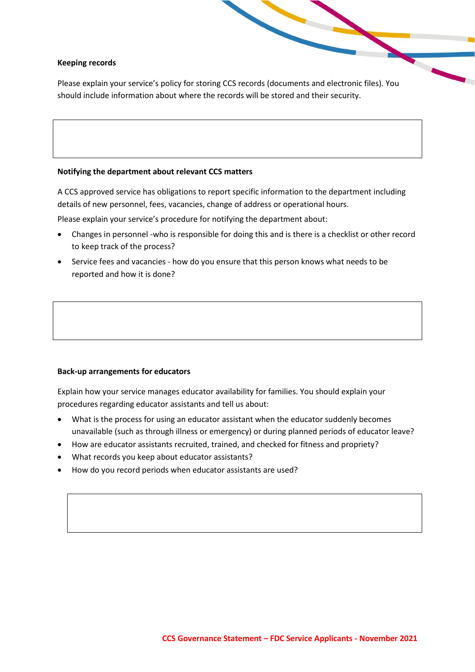#### **Keeping records**

Please explain your service's policy for storing CCS records (documents and electronic files). You should include information about where the records will be stored and their security.

#### **Notifying the department about relevant CCS matters**

A CCS approved service has obligations to report specific information to the department including details of new personnel, fees, vacancies, change of address or operational hours.

Please explain your service's procedure for notifying the department about:

- Changes in personnel -who is responsible for doing this and is there is a checklist or other record to keep track of the process?
- Service fees and vacancies how do you ensure that this person knows what needs to be reported and how it is done?

#### **Back-up arrangements for educators**

Explain how your service manages educator availability for families. You should explain your procedures regarding educator assistants and tell us about:

- What is the process for using an educator assistant when the educator suddenly becomes unavailable (such as through illness or emergency) or during planned periods of educator leave?
- How are educator assistants recruited, trained, and checked for fitness and propriety?
- What records you keep about educator assistants?
- How do you record periods when educator assistants are used?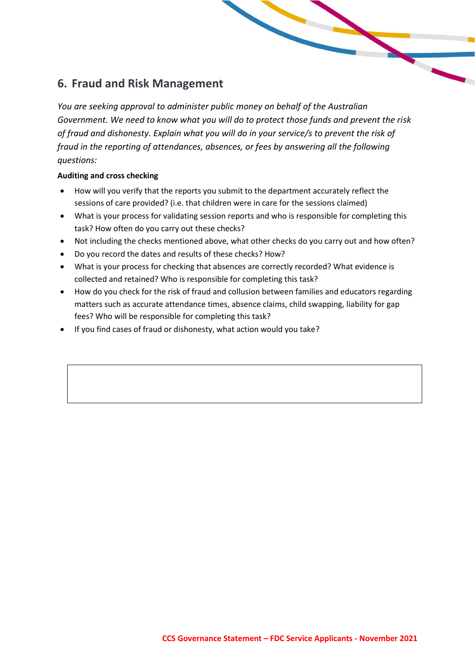# **6. Fraud and Risk Management**

*You are seeking approval to administer public money on behalf of the Australian Government. We need to know what you will do to protect those funds and prevent the risk of fraud and dishonesty. Explain what you will do in your service/s to prevent the risk of fraud in the reporting of attendances, absences, or fees by answering all the following questions:*

## **Auditing and cross checking**

- How will you verify that the reports you submit to the department accurately reflect the sessions of care provided? (i.e. that children were in care for the sessions claimed)
- What is your process for validating session reports and who is responsible for completing this task? How often do you carry out these checks?
- Not including the checks mentioned above, what other checks do you carry out and how often?
- Do you record the dates and results of these checks? How?
- What is your process for checking that absences are correctly recorded? What evidence is collected and retained? Who is responsible for completing this task?
- How do you check for the risk of fraud and collusion between families and educators regarding matters such as accurate attendance times, absence claims, child swapping, liability for gap fees? Who will be responsible for completing this task?
- If you find cases of fraud or dishonesty, what action would you take?